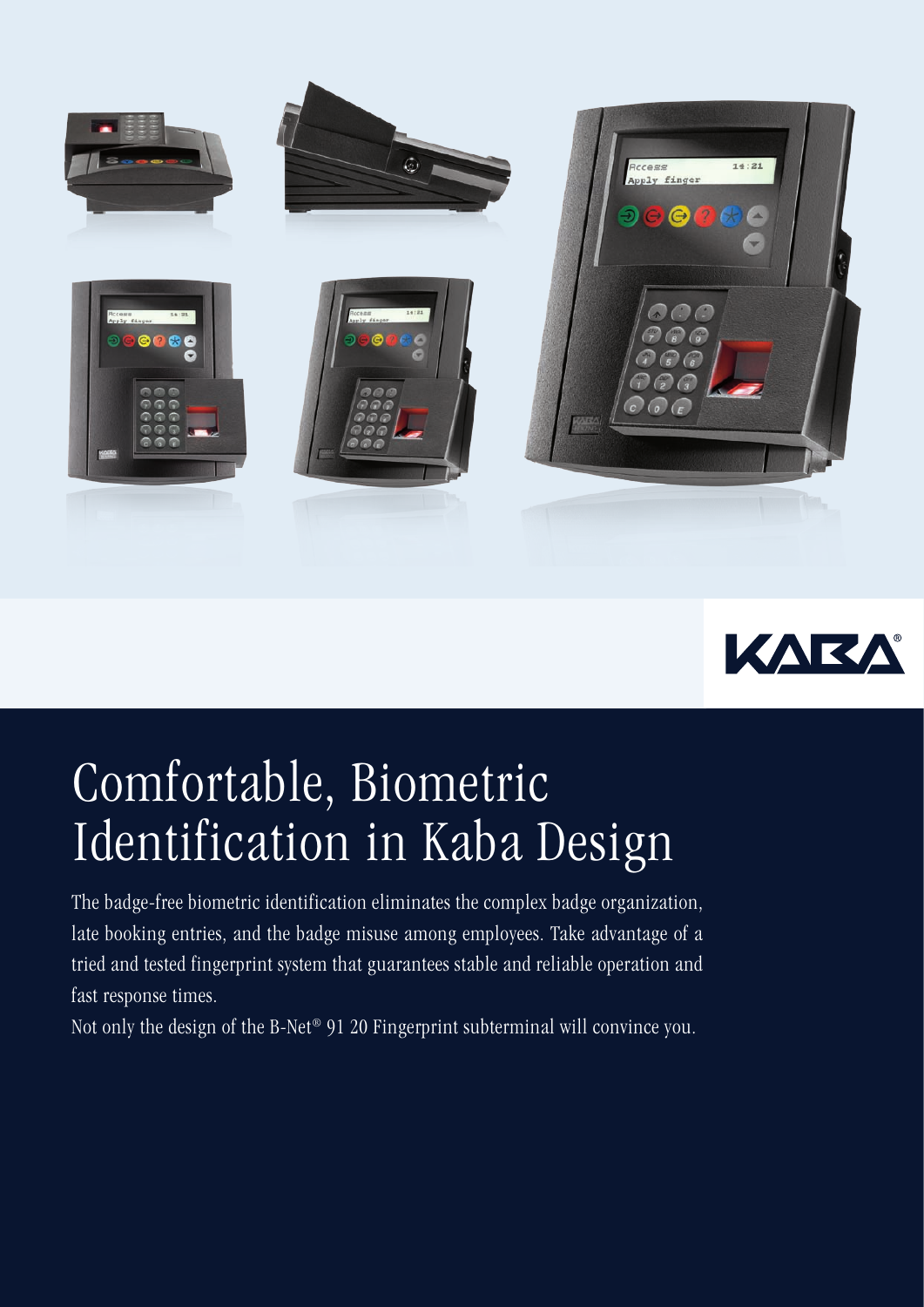



## Comfortable, Biometric Identification in Kaba Design

The badge-free biometric identification eliminates the complex badge organization, late booking entries, and the badge misuse among employees. Take advantage of a tried and tested fingerprint system that guarantees stable and reliable operation and fast response times.

Not only the design of the B-Net® 91 20 Fingerprint subterminal will convince you.